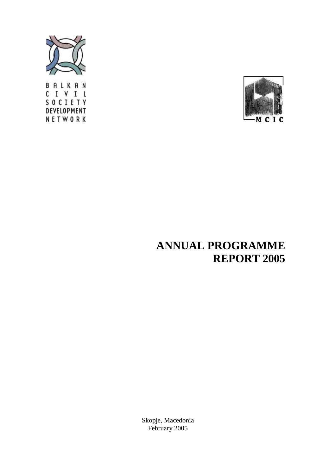

BALKAN CIVIL SOCIETY DEVELOPMENT NETWORK



# **ANNUAL PROGRAMME REPORT 2005**

Skopje, Macedonia February 2005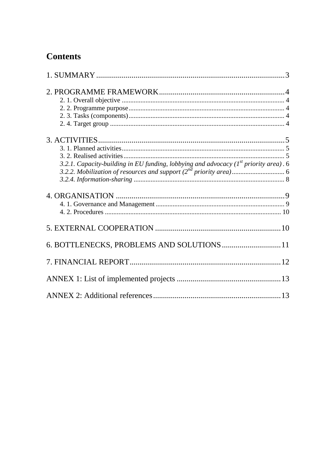# **Contents**

| 3.2.1. Capacity-building in EU funding, lobbying and advocacy ( $Ist$ priority area). 6 |  |
|-----------------------------------------------------------------------------------------|--|
|                                                                                         |  |
|                                                                                         |  |
| 6. BOTTLENECKS, PROBLEMS AND SOLUTIONS11                                                |  |
|                                                                                         |  |
|                                                                                         |  |
|                                                                                         |  |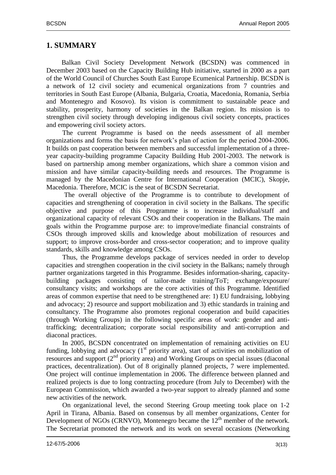### <span id="page-2-0"></span>**1. SUMMARY**

Balkan Civil Society Development Network (BCSDN) was commenced in December 2003 based on the Capacity Building Hub initiative, started in 2000 as a part of the World Council of Churches South East Europe Ecumenical Partnership. BCSDN is a network of 12 civil society and ecumenical organizations from 7 countries and territories in South East Europe (Albania, Bulgaria, Croatia, Macedonia, Romania, Serbia and Montenegro and Kosovo). Its vision is commitment to sustainable peace and stability, prosperity, harmony of societies in the Balkan region. Its mission is to strengthen civil society through developing indigenous civil society concepts, practices and empowering civil society actors.

The current Programme is based on the needs assessment of all member organizations and forms the basis for network's plan of action for the period 2004-2006. It builds on past cooperation between members and successful implementation of a threeyear capacity-building programme Capacity Building Hub 2001-2003. The network is based on partnership among member organizations, which share a common vision and mission and have similar capacity-building needs and resources. The Programme is managed by the Macedonian Centre for International Cooperation (MCIC), Skopje, Macedonia. Therefore, MCIC is the seat of BCSDN Secretariat.

The overall objective of the Programme is to contribute to development of capacities and strengthening of cooperation in civil society in the Balkans. The specific objective and purpose of this Programme is to increase individual/staff and organizational capacity of relevant CSOs and their cooperation in the Balkans. The main goals within the Programme purpose are: to improve/mediate financial constraints of CSOs through improved skills and knowledge about mobilization of resources and support; to improve cross-border and cross-sector cooperation; and to improve quality standards, skills and knowledge among CSOs.

Thus, the Programme develops package of services needed in order to develop capacities and strengthen cooperation in the civil society in the Balkans; namely through partner organizations targeted in this Programme. Besides information-sharing, capacitybuilding packages consisting of tailor-made training/ToT; exchange/exposure/ consultancy visits; and workshops are the core activities of this Programme. Identified areas of common expertise that need to be strengthened are: 1) EU fundraising, lobbying and advocacy; 2) resource and support mobilization and 3) ethic standards in training and consultancy. The Programme also promotes regional cooperation and build capacities (through Working Groups) in the following specific areas of work: gender and antitrafficking; decentralization; corporate social responsibility and anti-corruption and diaconal practices.

In 2005, BCSDN concentrated on implementation of remaining activities on EU funding, lobbying and advocacy  $(1<sup>st</sup>$  priority area), start of activities on mobilization of resources and support  $(2<sup>nd</sup>$  priority area) and Working Groups on special issues (diaconal practices, decentralization). Out of 8 originally planned projects, 7 were implemented. One project will continue implementation in 2006. The difference between planned and realized projects is due to long contracting procedure (from July to December) with the European Commission, which awarded a two-year support to already planned and some new activities of the network.

On organizational level, the second Steering Group meeting took place on 1-2 April in Tirana, Albania. Based on consensus by all member organizations, Center for Development of NGOs (CRNVO), Montenegro became the  $12<sup>th</sup>$  member of the network. The Secretariat promoted the network and its work on several occasions (Networking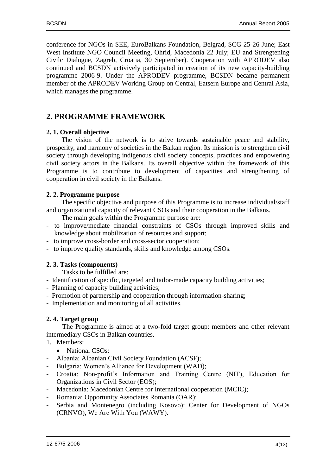conference for NGOs in SEE, EuroBalkans Foundation, Belgrad, SCG 25-26 June; East West Institute NGO Council Meeting, Ohrid, Macedonia 22 July; EU and Strengtening Civilc Dialogue, Zagreb, Croatia, 30 September). Cooperation with APRODEV also continued and BCSDN activively participated in creation of its new capacity-building programme 2006-9. Under the APRODEV programme, BCSDN became permanent member of the APRODEV Working Group on Central, Eatsern Europe and Central Asia, which manages the programme.

### <span id="page-3-0"></span>**2. PROGRAMME FRAMEWORK**

#### <span id="page-3-1"></span>**2. 1. Overall objective**

The vision of the network is to strive towards sustainable peace and stability, prosperity, and harmony of societies in the Balkan region. Its mission is to strengthen civil society through developing indigenous civil society concepts, practices and empowering civil society actors in the Balkans. Its overall objective within the framework of this Programme is to contribute to development of capacities and strengthening of cooperation in civil society in the Balkans.

#### <span id="page-3-2"></span>**2. 2. Programme purpose**

The specific objective and purpose of this Programme is to increase individual/staff and organizational capacity of relevant CSOs and their cooperation in the Balkans.

The main goals within the Programme purpose are:

- to improve/mediate financial constraints of CSOs through improved skills and knowledge about mobilization of resources and support;
- to improve cross-border and cross-sector cooperation;
- to improve quality standards, skills and knowledge among CSOs*.*

#### <span id="page-3-3"></span>**2. 3. Tasks (components)**

Tasks to be fulfilled are:

- Identification of specific, targeted and tailor-made capacity building activities;
- Planning of capacity building activities;
- Promotion of partnership and cooperation through information-sharing;
- Implementation and monitoring of all activities.

#### <span id="page-3-4"></span>**2. 4. Target group**

The Programme is aimed at a two-fold target group: members and other relevant intermediary CSOs in Balkan countries.

- 1. Members:
	- National CSOs:
- Albania: Albanian Civil Society Foundation (ACSF);
- Bulgaria: Women's Alliance for Development (WAD);
- Croatia: Non-profit's Information and Training Centre (NIT), Education for Organizations in Civil Sector (EOS);
- Macedonia: Macedonian Centre for International cooperation (MCIC);
- Romania: Opportunity Associates Romania (OAR);
- Serbia and Montenegro (including Kosovo): Center for Development of NGOs (CRNVO), We Are With You (WAWY).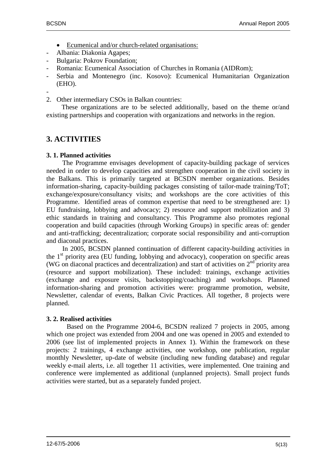- Ecumenical and/or church-related organisations:
- Albania: Diakonia Agapes;
- Bulgaria: Pokrov Foundation;
- Romania: Ecumenical Association of Churches in Romania (AIDRom);
- Serbia and Montenegro (inc. Kosovo): Ecumenical Humanitarian Organization (EHO).

2. Other intermediary CSOs in Balkan countries:

These organizations are to be selected additionally, based on the theme or/and existing partnerships and cooperation with organizations and networks in the region.

### <span id="page-4-0"></span>**3. ACTIVITIES**

#### <span id="page-4-1"></span>**3. 1. Planned activities**

The Programme envisages development of capacity-building package of services needed in order to develop capacities and strengthen cooperation in the civil society in the Balkans. This is primarily targeted at BCSDN member organizations. Besides information-sharing, capacity-building packages consisting of tailor-made training/ToT; exchange/exposure/consultancy visits; and workshops are the core activities of this Programme. Identified areas of common expertise that need to be strengthened are: 1) EU fundraising, lobbying and advocacy; 2) resource and support mobilization and 3) ethic standards in training and consultancy. This Programme also promotes regional cooperation and build capacities (through Working Groups) in specific areas of: gender and anti-trafficking; decentralization; corporate social responsibility and anti-corruption and diaconal practices.

In 2005, BCSDN planned continuation of different capacity-building activities in the 1 st priority area (EU funding, lobbying and advocacy), cooperation on specific areas (WG on diaconal practices and decentralization) and start of activities on  $2<sup>nd</sup>$  priority area (resource and support mobilization). These included: trainings, exchange activities (exchange and exposure visits, backstopping/coaching) and workshops. Planned information-sharing and promotion activities were: programme promotion, website, Newsletter, calendar of events, Balkan Civic Practices. All together, 8 projects were planned.

#### <span id="page-4-2"></span>**3. 2. Realised activities**

Based on the Programme 2004-6, BCSDN realized 7 projects in 2005, among which one project was extended from 2004 and one was opened in 2005 and extended to 2006 (see list of implemented projects in Annex 1). Within the framework on these projects: 2 trainings, 4 exchange activities, one workshop, one publication, regular monthly Newsletter, up-date of website (including new funding database) and regular weekly e-mail alerts, i.e. all together 11 activities, were implemented. One training and conference were implemented as additional (unplanned projects). Small project funds activities were started, but as a separately funded project.

<sup>-</sup>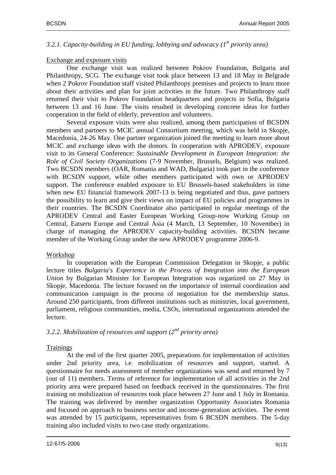#### <span id="page-5-0"></span>*3.2.1. Capacity-building in EU funding, lobbying and advocacy (1st priority area)*

#### Exchange and exposure visits

One exchange visit was realized between Pokrov Foundation, Bulgaria and Philanthropy, SCG. The exchange visit took place between 13 and 18 May in Belgrade when 2 Pokrov Foundation staff visited Philanthropy premises and projects to learn more about their activities and plan for joint activities in the future. Two Philanthropy staff returned their visit to Pokrov Foundation headquarters and projects in Sofia, Bulgaria between 13 and 16 June. The visits resulted in developing concrete ideas for further cooperation in the field of elderly, prevention and volunteers.

Several exposure visits were also realized, among them participation of BCSDN members and partners to MCIC annual Consortium meeting, which was held in Skopje, Macedonia, 24-26 May. One partner organization joined the meeting to learn more about MCIC and exchange ideas with the donors. In cooperation with APRODEV, exposure visit to its General Conference: *Sustainable Development in European Integration: the Role of Civil Society Organizations* (7-9 November, Brussels, Belgium) was realized. Two BCSDN members (OAR, Romania and WAD, Bulgaria) took part in the conference with BCSDN support, while other members participated with own or APRODEV support. The conference enabled exposure to EU Brussels-based stakeholders in time when new EU financial framework 2007-13 is being negotiated and thus, gave partners the possibility to learn and give their views on impact of EU policies and programmes in their countries. The BCSDN Coordinator also participated in regular meetings of the APRODEV Central and Easter European Working Group-now Working Group on Central, Eatsern Europe and Central Asia (4 March, 13 September, 10 November) in charge of managing the APRODEV capacity-building activities. BCSDN became member of the Working Group under the new APRODEV programme 2006-9.

#### Workshop

In cooperation with the European Commission Delegation in Skopje, a public lecture titles *Bulgaria's Experience in the Process of Integration into the European Union* by Bulgarian Minister for European Integration was organized on 27 May in Skopje, Macedonia. The lecture focused on the importance of internal coordination and communication campaign in the process of negotiation for the membership status. Around 250 participants, from different institutions such as ministries, local government, parliament, religious communities, media, CSOs, international organizations attended the lecture.

### <span id="page-5-1"></span>*3.2.2. Mobilization of resources and support (2nd priority area)*

#### **Trainings**

At the end of the first quarter 2005, preparations for implementation of activities under 2nd priority area, i.e. mobilization of resources and support, started. A questionnaire for needs assessment of member organizations was send and returned by 7 (out of 11) members. Terms of reference for implementation of all activities in the 2nd priority area were prepared based on feedback received in the questionnaires. The first training on mobilization of resources took place between 27 June and 1 July in Romania. The training was delivered by member organization Opportunity Associates Romania and focused on approach to business sector and income-generation activities. The event was attended by 15 participants, representatives from 6 BCSDN members. The 5-day training also included visits to two case study organizations.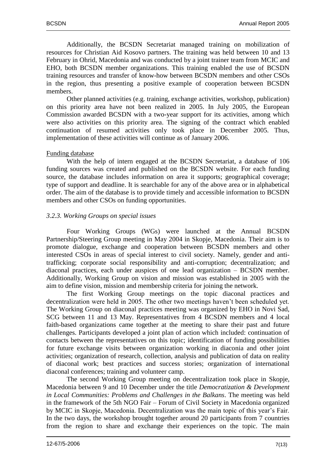Additionally, the BCSDN Secretariat managed training on mobilization of resources for Christian Aid Kosovo partners. The training was held between 10 and 13 February in Ohrid, Macedonia and was conducted by a joint trainer team from MCIC and EHO, both BCSDN member organizations. This training enabled the use of BCSDN training resources and transfer of know-how between BCSDN members and other CSOs in the region, thus presenting a positive example of cooperation between BCSDN members.

Other planned activities (e.g. training, exchange activities, workshop, publication) on this priority area have not been realized in 2005. In July 2005, the European Commission awarded BCSDN with a two-year support for its activities, among which were also activities on this priority area. The signing of the contract which enabled continuation of resumed activities only took place in December 2005. Thus, implementation of these activities will continue as of January 2006.

#### Funding database

With the help of intern engaged at the BCSDN Secretariat, a database of 106 funding sources was created and published on the BCSDN website. For each funding source, the database includes information on area it supports; geographical coverage; type of support and deadline. It is searchable for any of the above area or in alphabetical order. The aim of the database is to provide timely and accessible information to BCSDN members and other CSOs on funding opportunities.

#### *3.2.3. Working Groups on special issues*

Four Working Groups (WGs) were launched at the Annual BCSDN Partnership/Steering Group meeting in May 2004 in Skopje, Macedonia. Their aim is to promote dialogue, exchange and cooperation between BCSDN members and other interested CSOs in areas of special interest to civil society. Namely, gender and antitrafficking; corporate social responsibility and anti-corruption; decentralization; and diaconal practices, each under auspices of one lead organization – BCSDN member. Additionally, Working Group on vision and mission was established in 2005 with the aim to define vision, mission and membership criteria for joining the network.

The first Working Group meetings on the topic diaconal practices and decentralization were held in 2005. The other two meetings haven't been scheduled yet. The Working Group on diaconal practices meeting was organized by EHO in Novi Sad, SCG between 11 and 13 May. Representatives from 4 BCSDN members and 4 local faith-based organizations came together at the meeting to share their past and future challenges. Participants developed a joint plan of action which included: continuation of contacts between the representatives on this topic; identification of funding possibilities for future exchange visits between organization working in diaconia and other joint activities; organization of research, collection, analysis and publication of data on reality of diaconal work; best practices and success stories; organization of international diaconal conferences; training and volunteer camp.

The second Working Group meeting on decentralization took place in Skopje, Macedonia between 9 and 10 December under the title *Democratization & Development in Local Communities: Problems and Challenges in the Balkans*. The meeting was held in the framework of the 5th NGO Fair – Forum of Civil Society in Macedonia organized by MCIC in Skopje, Macedonia. Decentralization was the main topic of this year's Fair. In the two days, the workshop brought together around 20 participants from 7 countries from the region to share and exchange their experiences on the topic. The main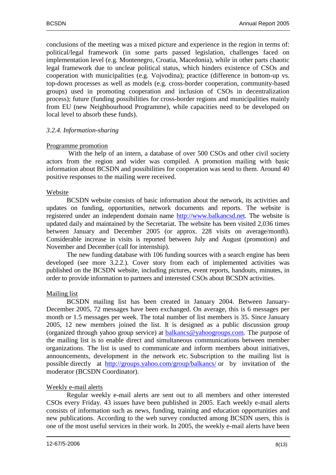conclusions of the meeting was a mixed picture and experience in the region in terms of: political/legal framework (in some parts passed legislation, challenges faced on implementation level (e.g. Montenegro, Croatia, Macedonia), while in other parts chaotic legal framework due to unclear political status, which hinders existence of CSOs and cooperation with municipalities (e.g. Vojvodina); practice (difference in bottom-up vs. top-down processes as well as models (e.g. cross-border cooperation, community-based groups) used in promoting cooperation and inclusion of CSOs in decentralization process); future (funding possibilities for cross-border regions and municipalities mainly from EU (new Neighbourhood Programme), while capacities need to be developed on local level to absorb these funds).

#### <span id="page-7-0"></span>*3.2.4. Information-sharing*

#### Programme promotion

With the help of an intern, a database of over 500 CSOs and other civil society actors from the region and wider was compiled. A promotion mailing with basic information about BCSDN and possibilities for cooperation was send to them. Around 40 positive responses to the mailing were received.

#### Website

BCSDN website consists of basic information about the network, its activities and updates on funding, opportunities, network documents and reports. The website is registered under an independent domain name [http://www.balkancsd.net.](http://www.balkancsd.net/) The website is updated daily and maintained by the Secretariat. The website has been visited 2,036 times between January and December 2005 (or approx. 228 visits on average/month). Considerable increase in visits is reported between July and August (promotion) and November and December (call for internship).

The new funding database with 106 funding sources with a search engine has been developed (see more 3.2.2.). Cover story from each of implemented activities was published on the BCSDN website, including pictures, event reports, handouts, minutes, in order to provide information to partners and interested CSOs about BCSDN activities.

#### Mailing list

BCSDN mailing list has been created in January 2004. Between January-December 2005, 72 messages have been exchanged. On average, this is 6 messages per month or 1.5 messages per week. The total number of list members is 35. Since January 2005, 12 new members joined the list. It is designed as a public discussion group (organized through yahoo group service) at [balkancs@yahoogroups.com.](mailto:balkancs@yahoogroups.com) The purpose of the mailing list is to enable direct and simultaneous communications between member organizations. The list is used to communicate and inform members about initiatives, announcements, development in the network etc. Subscription to the mailing list is possible directly at <http://groups.yahoo.com/group/balkancs/> or by invitation of the moderator (BCSDN Coordinator).

#### Weekly e-mail alerts

Regular weekly e-mail alerts are sent out to all members and other interested CSOs every Friday. 43 issues have been published in 2005. Each weekly e-mail alerts consists of information such as news, funding, training and education opportunities and new publications. According to the web survey conducted among BCSDN users, this is one of the most useful services in their work. In 2005, the weekly e-mail alerts have been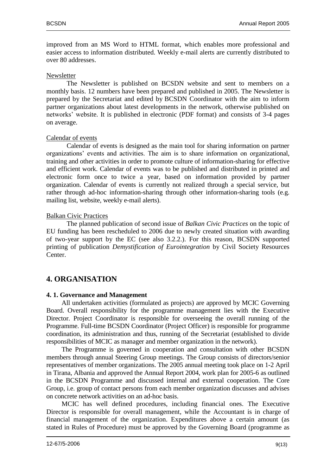improved from an MS Word to HTML format, which enables more professional and easier access to information distributed. Weekly e-mail alerts are currently distributed to over 80 addresses.

#### Newsletter

The Newsletter is published on BCSDN website and sent to members on a monthly basis. 12 numbers have been prepared and published in 2005. The Newsletter is prepared by the Secretariat and edited by BCSDN Coordinator with the aim to inform partner organizations about latest developments in the network, otherwise published on networks' website. It is published in electronic (PDF format) and consists of 3-4 pages on average.

#### Calendar of events

Calendar of events is designed as the main tool for sharing information on partner organizations' events and activities. The aim is to share information on organizational, training and other activities in order to promote culture of information-sharing for effective and efficient work. Calendar of events was to be published and distributed in printed and electronic form once to twice a year, based on information provided by partner organization. Calendar of events is currently not realized through a special service, but rather through ad-hoc information-sharing through other information-sharing tools (e.g. mailing list, website, weekly e-mail alerts).

#### Balkan Civic Practices

The planned publication of second issue of *Balkan Civic Practices* on the topic of EU funding has been rescheduled to 2006 due to newly created situation with awarding of two-year support by the EC (see also 3.2.2.). For this reason, BCSDN supported printing of publication *Demystification of Eurointegration* by Civil Society Resources Center.

### <span id="page-8-0"></span>**4. ORGANISATION**

#### <span id="page-8-1"></span>**4. 1. Governance and Management**

All undertaken activities (formulated as projects) are approved by MCIC Governing Board. Overall responsibility for the programme management lies with the Executive Director. Project Coordinator is responsible for overseeing the overall running of the Programme. Full-time BCSDN Coordinator (Project Officer) is responsible for programme coordination, its administration and thus, running of the Secretariat (established to divide responsibilities of MCIC as manager and member organization in the network).

The Programme is governed in cooperation and consultation with other BCSDN members through annual Steering Group meetings. The Group consists of directors/senior representatives of member organizations. The 2005 annual meeting took place on 1-2 April in Tirana, Albania and approved the Annual Report 2004, work plan for 2005-6 as outlined in the BCSDN Programme and discussed internal and external cooperation. The Core Group, i.e. group of contact persons from each member organization discusses and advises on concrete network activities on an ad-hoc basis.

MCIC has well defined procedures, including financial ones. The Executive Director is responsible for overall management, while the Accountant is in charge of financial management of the organization. Expenditures above a certain amount (as stated in Rules of Procedure) must be approved by the Governing Board (programme as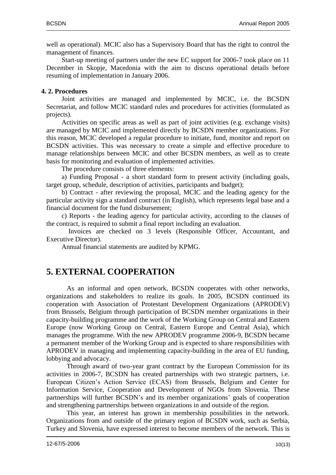well as operational). MCIC also has a Supervisory Board that has the right to control the management of finances.

Start-up meeting of partners under the new EC support for 2006-7 took place on 11 December in Skopje, Macedonia with the aim to discuss operational details before resuming of implementation in January 2006.

#### <span id="page-9-0"></span>**4. 2. Procedures**

Joint activities are managed and implemented by MCIC, i.e. the BCSDN Secretariat, and follow MCIC standard rules and procedures for activities (formulated as projects).

Activities on specific areas as well as part of joint activities (e.g. exchange visits) are managed by MCIC and implemented directly by BCSDN member organizations. For this reason, MCIC developed a regular procedure to initiate, fund, monitor and report on BCSDN activities. This was necessary to create a simple and effective procedure to manage relationships between MCIC and other BCSDN members, as well as to create basis for monitoring and evaluation of implemented activities.

The procedure consists of three elements:

a) Funding Proposal - a short standard form to present activity (including goals, target group, schedule, description of activities, participants and budget);

b) Contract - after reviewing the proposal, MCIC and the leading agency for the particular activity sign a standard contract (in English), which represents legal base and a financial document for the fund disbursement;

c) Reports - the leading agency for particular activity, according to the clauses of the contract, is required to submit a final report including an evaluation.

Invoices are checked on 3 levels (Responsible Officer, Accountant, and Executive Director).

Annual financial statements are audited by KPMG.

# <span id="page-9-1"></span>**5. EXTERNAL COOPERATION**

As an informal and open network, BCSDN cooperates with other networks, organizations and stakeholders to realize its goals. In 2005, BCSDN continued its cooperation with Association of Protestant Development Organizations (APRODEV) from Brussels, Belgium through participation of BCSDN member organizations in their capacity-building programme and the work of the Working Group on Central and Eastern Europe (now Working Group on Central, Eastern Europe and Central Asia), which manages the programme. With the new APRODEV programme 2006-9, BCSDN became a permanent member of the Working Group and is expected to share responsibilities with APRODEV in managing and implementing capacity-building in the area of EU funding, lobbying and advocacy.

Through award of two-year grant contract by the European Commission for its activities in 2006-7, BCSDN has created partnerships with two strategic partners, i.e. European Citizen's Action Service (ECAS) from Brussels, Belgium and Center for Information Service, Cooperation and Development of NGOs from Slovenia. These partnerships will further BCSDN's and its member organizations' goals of cooperation and strengthening partnerships between organizations in and outside of the region.

This year, an interest has grown in membership possibilities in the network. Organizations from and outside of the primary region of BCSDN work, such as Serbia, Turkey and Slovenia, have expressed interest to become members of the network. This is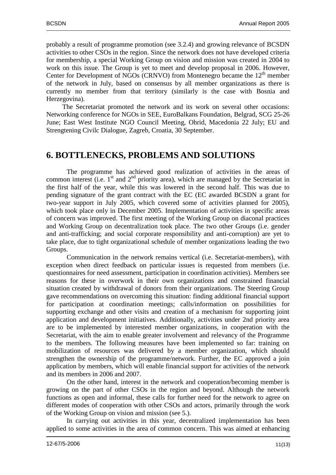probably a result of programme promotion (see 3.2.4) and growing relevance of BCSDN activities to other CSOs in the region. Since the network does not have developed criteria for membership, a special Working Group on vision and mission was created in 2004 to work on this issue. The Group is yet to meet and develop proposal in 2006. However, Center for Development of NGOs (CRNVO) from Montenegro became the  $12<sup>th</sup>$  member of the network in July, based on consensus by all member organizations as there is currently no member from that territory (similarly is the case with Bosnia and Herzegovina).

The Secretariat promoted the network and its work on several other occasions: Networking conference for NGOs in SEE, EuroBalkans Foundation, Belgrad, SCG 25-26 June; East West Institute NGO Council Meeting, Ohrid, Macedonia 22 July; EU and Strengtening Civilc Dialogue, Zagreb, Croatia, 30 September.

# <span id="page-10-0"></span>**6. BOTTLENECKS, PROBLEMS AND SOLUTIONS**

The programme has achieved good realization of activities in the areas of common interest (i.e.  $1<sup>st</sup>$  and  $2<sup>nd</sup>$  priority area), which are managed by the Secretariat in the first half of the year, while this was lowered in the second half. This was due to pending signature of the grant contract with the EC (EC awarded BCSDN a grant for two-year support in July 2005, which covered some of activities planned for 2005), which took place only in December 2005. Implementation of activities in specific areas of concern was improved. The first meeting of the Working Group on diaconal practices and Working Group on decentralization took place. The two other Groups (i.e. gender and anti-trafficking; and social corporate responsibility and anti-corruption) are yet to take place, due to tight organizational schedule of member organizations leading the two Groups.

Communication in the network remains vertical (i.e. Secretariat-members), with exception when direct feedback on particular issues is requested from members (i.e. questionnaires for need assessment, participation in coordination activities). Members see reasons for these in overwork in their own organizations and constrained financial situation created by withdrawal of donors from their organizations. The Steering Group gave recommendations on overcoming this situation: finding additional financial support for participation at coordination meetings; calls/information on possibilities for supporting exchange and other visits and creation of a mechanism for supporting joint application and development initiatives. Additionally, activities under 2nd priority area are to be implemented by interested member organizations, in cooperation with the Secretariat, with the aim to enable greater involvement and relevancy of the Programme to the members. The following measures have been implemented so far: training on mobilization of resources was delivered by a member organization, which should strengthen the ownership of the programme/network. Further, the EC approved a join application by members, which will enable financial support for activities of the network and its members in 2006 and 2007.

On the other hand, interest in the network and cooperation/becoming member is growing on the part of other CSOs in the region and beyond. Although the network functions as open and informal, these calls for further need for the network to agree on different modes of cooperation with other CSOs and actors, primarily through the work of the Working Group on vision and mission (see 5.).

In carrying out activities in this year, decentralized implementation has been applied to some activities in the area of common concern. This was aimed at enhancing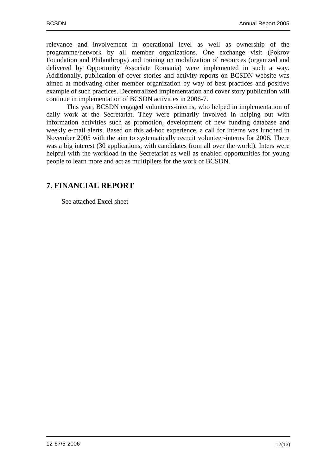relevance and involvement in operational level as well as ownership of the programme/network by all member organizations. One exchange visit (Pokrov Foundation and Philanthropy) and training on mobilization of resources (organized and delivered by Opportunity Associate Romania) were implemented in such a way. Additionally, publication of cover stories and activity reports on BCSDN website was aimed at motivating other member organization by way of best practices and positive example of such practices. Decentralized implementation and cover story publication will continue in implementation of BCSDN activities in 2006-7.

This year, BCSDN engaged volunteers-interns, who helped in implementation of daily work at the Secretariat. They were primarily involved in helping out with information activities such as promotion, development of new funding database and weekly e-mail alerts. Based on this ad-hoc experience, a call for interns was lunched in November 2005 with the aim to systematically recruit volunteer-interns for 2006. There was a big interest (30 applications, with candidates from all over the world). Inters were helpful with the workload in the Secretariat as well as enabled opportunities for young people to learn more and act as multipliers for the work of BCSDN.

### <span id="page-11-0"></span>**7. FINANCIAL REPORT**

See attached Excel sheet